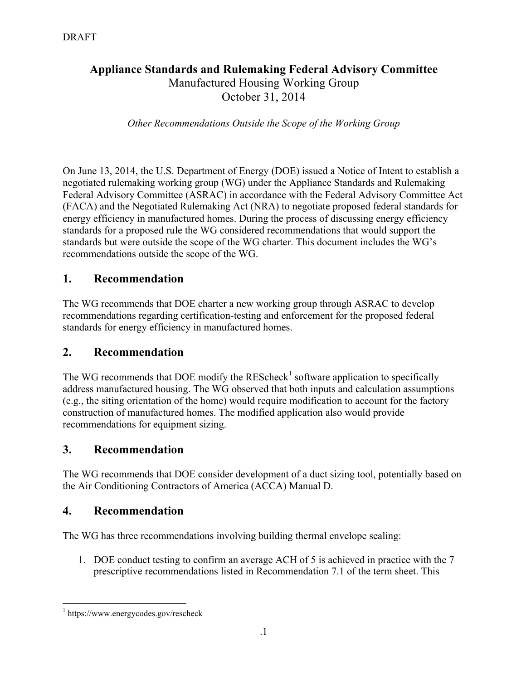### **Appliance Standards and Rulemaking Federal Advisory Committee** Manufactured Housing Working Group October 31, 2014

*Other Recommendations Outside the Scope of the Working Group*

On June 13, 2014, the U.S. Department of Energy (DOE) issued a Notice of Intent to establish a negotiated rulemaking working group (WG) under the Appliance Standards and Rulemaking Federal Advisory Committee (ASRAC) in accordance with the Federal Advisory Committee Act (FACA) and the Negotiated Rulemaking Act (NRA) to negotiate proposed federal standards for energy efficiency in manufactured homes. During the process of discussing energy efficiency standards for a proposed rule the WG considered recommendations that would support the standards but were outside the scope of the WG charter. This document includes the WG's recommendations outside the scope of the WG.

### **1. Recommendation**

The WG recommends that DOE charter a new working group through ASRAC to develop recommendations regarding certification-testing and enforcement for the proposed federal standards for energy efficiency in manufactured homes.

### **2. Recommendation**

The WG recommends that DOE modify the  $REScheck<sup>1</sup>$  software application to specifically address manufactured housing. The WG observed that both inputs and calculation assumptions (e.g., the siting orientation of the home) would require modification to account for the factory construction of manufactured homes. The modified application also would provide recommendations for equipment sizing.

### **3. Recommendation**

The WG recommends that DOE consider development of a duct sizing tool, potentially based on the Air Conditioning Contractors of America (ACCA) Manual D.

### **4. Recommendation**

The WG has three recommendations involving building thermal envelope sealing:

1. DOE conduct testing to confirm an average ACH of 5 is achieved in practice with the 7 prescriptive recommendations listed in Recommendation 7.1 of the term sheet. This

 <sup>1</sup> https://www.energycodes.gov/rescheck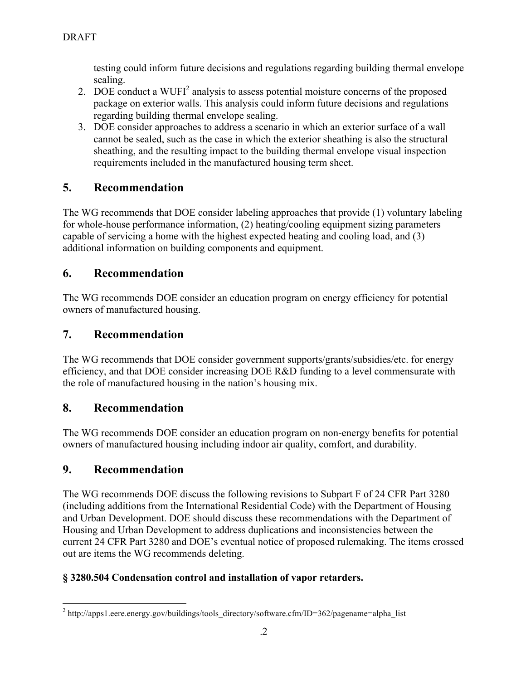testing could inform future decisions and regulations regarding building thermal envelope sealing.

- 2. DOE conduct a WUFI<sup>2</sup> analysis to assess potential moisture concerns of the proposed package on exterior walls. This analysis could inform future decisions and regulations regarding building thermal envelope sealing.
- 3. DOE consider approaches to address a scenario in which an exterior surface of a wall cannot be sealed, such as the case in which the exterior sheathing is also the structural sheathing, and the resulting impact to the building thermal envelope visual inspection requirements included in the manufactured housing term sheet.

# **5. Recommendation**

The WG recommends that DOE consider labeling approaches that provide (1) voluntary labeling for whole-house performance information, (2) heating/cooling equipment sizing parameters capable of servicing a home with the highest expected heating and cooling load, and (3) additional information on building components and equipment.

# **6. Recommendation**

The WG recommends DOE consider an education program on energy efficiency for potential owners of manufactured housing.

# **7. Recommendation**

The WG recommends that DOE consider government supports/grants/subsidies/etc. for energy efficiency, and that DOE consider increasing DOE R&D funding to a level commensurate with the role of manufactured housing in the nation's housing mix.

## **8. Recommendation**

The WG recommends DOE consider an education program on non-energy benefits for potential owners of manufactured housing including indoor air quality, comfort, and durability.

## **9. Recommendation**

The WG recommends DOE discuss the following revisions to Subpart F of 24 CFR Part 3280 (including additions from the International Residential Code) with the Department of Housing and Urban Development. DOE should discuss these recommendations with the Department of Housing and Urban Development to address duplications and inconsistencies between the current 24 CFR Part 3280 and DOE's eventual notice of proposed rulemaking. The items crossed out are items the WG recommends deleting.

## **§ 3280.504 Condensation control and installation of vapor retarders.**

<sup>&</sup>lt;sup>2</sup> http://apps1.eere.energy.gov/buildings/tools\_directory/software.cfm/ID=362/pagename=alpha\_list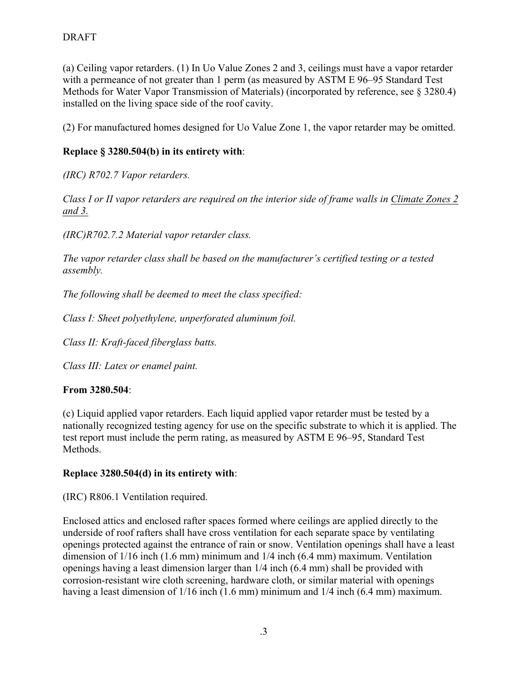(a) Ceiling vapor retarders. (1) In Uo Value Zones 2 and 3, ceilings must have a vapor retarder with a permeance of not greater than 1 perm (as measured by ASTM E 96–95 Standard Test Methods for Water Vapor Transmission of Materials) (incorporated by reference, see § 3280.4) installed on the living space side of the roof cavity.

(2) For manufactured homes designed for Uo Value Zone 1, the vapor retarder may be omitted.

### **Replace § 3280.504(b) in its entirety with**:

*(IRC) R702.7 Vapor retarders.* 

*Class I or II vapor retarders are required on the interior side of frame walls in Climate Zones 2 and 3.*

*(IRC)R702.7.2 Material vapor retarder class.* 

*The vapor retarder class shall be based on the manufacturer's certified testing or a tested assembly.* 

*The following shall be deemed to meet the class specified:* 

*Class I: Sheet polyethylene, unperforated aluminum foil.* 

*Class II: Kraft-faced fiberglass batts.* 

*Class III: Latex or enamel paint.*

### **From 3280.504**:

(c) Liquid applied vapor retarders. Each liquid applied vapor retarder must be tested by a nationally recognized testing agency for use on the specific substrate to which it is applied. The test report must include the perm rating, as measured by ASTM E 96–95, Standard Test **Methods** 

#### **Replace 3280.504(d) in its entirety with**:

(IRC) R806.1 Ventilation required.

Enclosed attics and enclosed rafter spaces formed where ceilings are applied directly to the underside of roof rafters shall have cross ventilation for each separate space by ventilating openings protected against the entrance of rain or snow. Ventilation openings shall have a least dimension of 1/16 inch (1.6 mm) minimum and 1/4 inch (6.4 mm) maximum. Ventilation openings having a least dimension larger than 1/4 inch (6.4 mm) shall be provided with corrosion-resistant wire cloth screening, hardware cloth, or similar material with openings having a least dimension of  $1/16$  inch  $(1.6 \text{ mm})$  minimum and  $1/4$  inch  $(6.4 \text{ mm})$  maximum.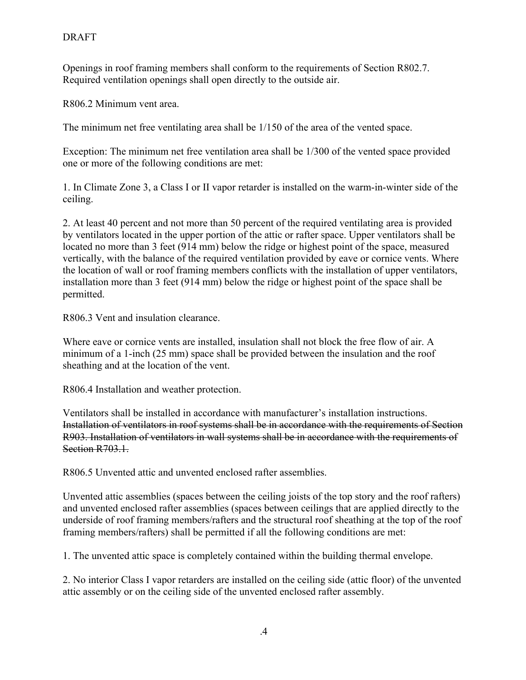Openings in roof framing members shall conform to the requirements of Section R802.7. Required ventilation openings shall open directly to the outside air.

R806.2 Minimum vent area.

The minimum net free ventilating area shall be 1/150 of the area of the vented space.

Exception: The minimum net free ventilation area shall be 1/300 of the vented space provided one or more of the following conditions are met:

1. In Climate Zone 3, a Class I or II vapor retarder is installed on the warm-in-winter side of the ceiling.

2. At least 40 percent and not more than 50 percent of the required ventilating area is provided by ventilators located in the upper portion of the attic or rafter space. Upper ventilators shall be located no more than 3 feet (914 mm) below the ridge or highest point of the space, measured vertically, with the balance of the required ventilation provided by eave or cornice vents. Where the location of wall or roof framing members conflicts with the installation of upper ventilators, installation more than 3 feet (914 mm) below the ridge or highest point of the space shall be permitted.

R806.3 Vent and insulation clearance.

Where eave or cornice vents are installed, insulation shall not block the free flow of air. A minimum of a 1-inch (25 mm) space shall be provided between the insulation and the roof sheathing and at the location of the vent.

R806.4 Installation and weather protection.

Ventilators shall be installed in accordance with manufacturer's installation instructions. Installation of ventilators in roof systems shall be in accordance with the requirements of Section R903. Installation of ventilators in wall systems shall be in accordance with the requirements of Section R703.1.

R806.5 Unvented attic and unvented enclosed rafter assemblies.

Unvented attic assemblies (spaces between the ceiling joists of the top story and the roof rafters) and unvented enclosed rafter assemblies (spaces between ceilings that are applied directly to the underside of roof framing members/rafters and the structural roof sheathing at the top of the roof framing members/rafters) shall be permitted if all the following conditions are met:

1. The unvented attic space is completely contained within the building thermal envelope.

2. No interior Class I vapor retarders are installed on the ceiling side (attic floor) of the unvented attic assembly or on the ceiling side of the unvented enclosed rafter assembly.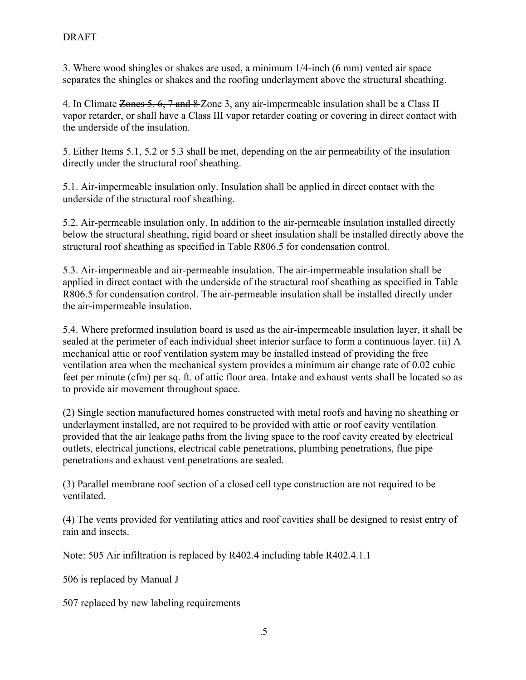3. Where wood shingles or shakes are used, a minimum 1/4-inch (6 mm) vented air space separates the shingles or shakes and the roofing underlayment above the structural sheathing.

4. In Climate Zones 5, 6, 7 and 8 Zone 3, any air-impermeable insulation shall be a Class II vapor retarder, or shall have a Class III vapor retarder coating or covering in direct contact with the underside of the insulation.

5. Either Items 5.1, 5.2 or 5.3 shall be met, depending on the air permeability of the insulation directly under the structural roof sheathing.

5.1. Air-impermeable insulation only. Insulation shall be applied in direct contact with the underside of the structural roof sheathing.

5.2. Air-permeable insulation only. In addition to the air-permeable insulation installed directly below the structural sheathing, rigid board or sheet insulation shall be installed directly above the structural roof sheathing as specified in Table R806.5 for condensation control.

5.3. Air-impermeable and air-permeable insulation. The air-impermeable insulation shall be applied in direct contact with the underside of the structural roof sheathing as specified in Table R806.5 for condensation control. The air-permeable insulation shall be installed directly under the air-impermeable insulation.

5.4. Where preformed insulation board is used as the air-impermeable insulation layer, it shall be sealed at the perimeter of each individual sheet interior surface to form a continuous layer. (ii) A mechanical attic or roof ventilation system may be installed instead of providing the free ventilation area when the mechanical system provides a minimum air change rate of 0.02 cubic feet per minute (cfm) per sq. ft. of attic floor area. Intake and exhaust vents shall be located so as to provide air movement throughout space.

(2) Single section manufactured homes constructed with metal roofs and having no sheathing or underlayment installed, are not required to be provided with attic or roof cavity ventilation provided that the air leakage paths from the living space to the roof cavity created by electrical outlets, electrical junctions, electrical cable penetrations, plumbing penetrations, flue pipe penetrations and exhaust vent penetrations are sealed.

(3) Parallel membrane roof section of a closed cell type construction are not required to be ventilated.

(4) The vents provided for ventilating attics and roof cavities shall be designed to resist entry of rain and insects.

Note: 505 Air infiltration is replaced by R402.4 including table R402.4.1.1

506 is replaced by Manual J

507 replaced by new labeling requirements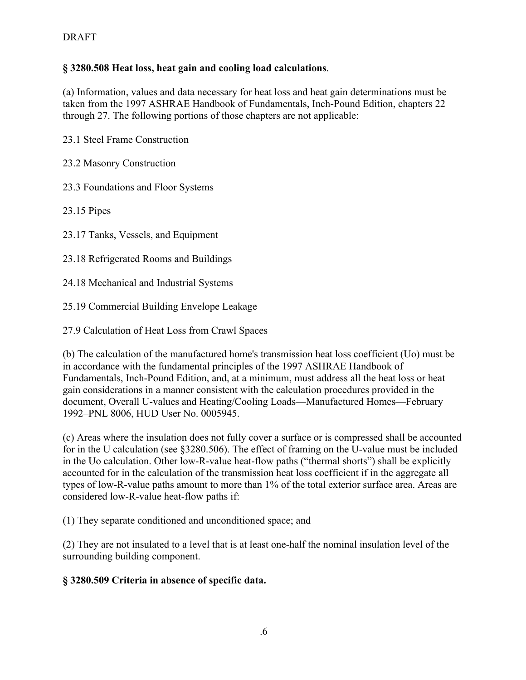#### **§ 3280.508 Heat loss, heat gain and cooling load calculations**.

(a) Information, values and data necessary for heat loss and heat gain determinations must be taken from the 1997 ASHRAE Handbook of Fundamentals, Inch-Pound Edition, chapters 22 through 27. The following portions of those chapters are not applicable:

23.1 Steel Frame Construction

23.2 Masonry Construction

23.3 Foundations and Floor Systems

23.15 Pipes

23.17 Tanks, Vessels, and Equipment

23.18 Refrigerated Rooms and Buildings

24.18 Mechanical and Industrial Systems

25.19 Commercial Building Envelope Leakage

27.9 Calculation of Heat Loss from Crawl Spaces

(b) The calculation of the manufactured home's transmission heat loss coefficient (Uo) must be in accordance with the fundamental principles of the 1997 ASHRAE Handbook of Fundamentals, Inch-Pound Edition, and, at a minimum, must address all the heat loss or heat gain considerations in a manner consistent with the calculation procedures provided in the document, Overall U-values and Heating/Cooling Loads—Manufactured Homes—February 1992–PNL 8006, HUD User No. 0005945.

(c) Areas where the insulation does not fully cover a surface or is compressed shall be accounted for in the U calculation (see §3280.506). The effect of framing on the U-value must be included in the Uo calculation. Other low-R-value heat-flow paths ("thermal shorts") shall be explicitly accounted for in the calculation of the transmission heat loss coefficient if in the aggregate all types of low-R-value paths amount to more than 1% of the total exterior surface area. Areas are considered low-R-value heat-flow paths if:

(1) They separate conditioned and unconditioned space; and

(2) They are not insulated to a level that is at least one-half the nominal insulation level of the surrounding building component.

**§ 3280.509 Criteria in absence of specific data.**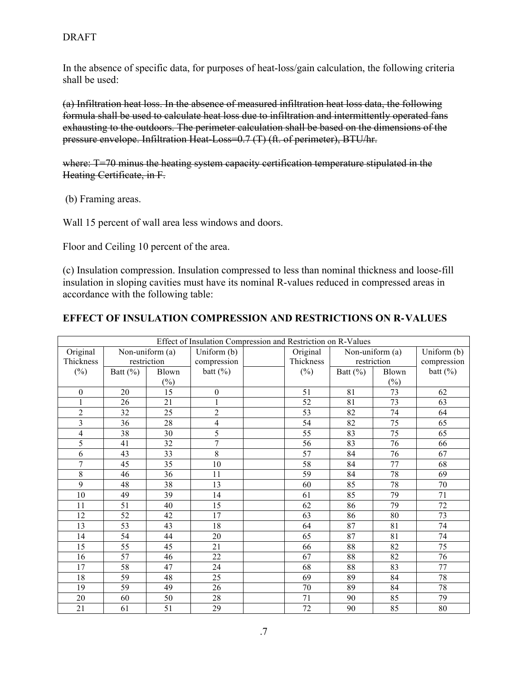#### DRAFT

In the absence of specific data, for purposes of heat-loss/gain calculation, the following criteria shall be used:

(a) Infiltration heat loss. In the absence of measured infiltration heat loss data, the following formula shall be used to calculate heat loss due to infiltration and intermittently operated fans exhausting to the outdoors. The perimeter calculation shall be based on the dimensions of the pressure envelope. Infiltration Heat-Loss=0.7 (T) (ft. of perimeter), BTU/hr.

where: T=70 minus the heating system capacity certification temperature stipulated in the Heating Certificate, in F.

(b) Framing areas.

Wall 15 percent of wall area less windows and doors.

Floor and Ceiling 10 percent of the area.

(c) Insulation compression. Insulation compressed to less than nominal thickness and loose-fill insulation in sloping cavities must have its nominal R-values reduced in compressed areas in accordance with the following table:

#### **EFFECT OF INSULATION COMPRESSION AND RESTRICTIONS ON R**-**VALUES**

| Effect of Insulation Compression and Restriction on R-Values |                 |                 |                  |  |                 |                 |                 |              |  |  |  |
|--------------------------------------------------------------|-----------------|-----------------|------------------|--|-----------------|-----------------|-----------------|--------------|--|--|--|
| Original                                                     | Non-uniform (a) |                 | Uniform (b)      |  | Original        | Non-uniform (a) |                 | Uniform (b)  |  |  |  |
| Thickness                                                    | restriction     |                 | compression      |  | Thickness       | restriction     |                 | compression  |  |  |  |
| $(\%)$                                                       | Batt $(\%)$     | Blown           | batt $(\%)$      |  | $(\%)$          | Batt $(\%)$     | Blown           | batt $(\% )$ |  |  |  |
|                                                              |                 | $(\% )$         |                  |  |                 |                 | $(\%)$          |              |  |  |  |
| $\boldsymbol{0}$                                             | 20              | $\overline{15}$ | $\boldsymbol{0}$ |  | 51              | 81              | $\overline{73}$ | 62           |  |  |  |
| 1                                                            | 26              | 21              | 1                |  | 52              | 81              | 73              | 63           |  |  |  |
| $\overline{2}$                                               | 32              | $\overline{25}$ | $\overline{2}$   |  | $\overline{53}$ | $\overline{82}$ | 74              | 64           |  |  |  |
| $\overline{\mathbf{3}}$                                      | 36              | 28              | $\overline{4}$   |  | 54              | 82              | 75              | 65           |  |  |  |
| $\overline{4}$                                               | 38              | 30              | 5                |  | 55              | 83              | 75              | 65           |  |  |  |
| 5                                                            | 41              | 32              | $\overline{7}$   |  | 56              | 83              | 76              | 66           |  |  |  |
| $\overline{6}$                                               | 43              | 33              | 8                |  | 57              | 84              | 76              | 67           |  |  |  |
| $\tau$                                                       | 45              | 35              | 10               |  | 58              | 84              | 77              | 68           |  |  |  |
| 8                                                            | 46              | 36              | 11               |  | 59              | 84              | 78              | 69           |  |  |  |
| 9                                                            | 48              | 38              | 13               |  | 60              | 85              | 78              | 70           |  |  |  |
| 10                                                           | 49              | 39              | 14               |  | 61              | 85              | 79              | 71           |  |  |  |
| 11                                                           | 51              | 40              | 15               |  | 62              | 86              | 79              | 72           |  |  |  |
| 12                                                           | 52              | 42              | 17               |  | 63              | 86              | 80              | 73           |  |  |  |
| 13                                                           | 53              | 43              | 18               |  | 64              | 87              | 81              | 74           |  |  |  |
| 14                                                           | 54              | 44              | 20               |  | 65              | 87              | 81              | 74           |  |  |  |
| 15                                                           | 55              | 45              | 21               |  | 66              | 88              | 82              | 75           |  |  |  |
| 16                                                           | 57              | 46              | 22               |  | 67              | 88              | 82              | 76           |  |  |  |
| 17                                                           | 58              | 47              | 24               |  | 68              | 88              | 83              | 77           |  |  |  |
| 18                                                           | 59              | 48              | 25               |  | 69              | 89              | 84              | 78           |  |  |  |
| 19                                                           | 59              | 49              | 26               |  | 70              | 89              | 84              | 78           |  |  |  |
| 20                                                           | 60              | 50              | 28               |  | 71              | 90              | 85              | 79           |  |  |  |
| $\overline{21}$                                              | 61              | $\overline{51}$ | $\overline{29}$  |  | $\overline{72}$ | 90              | 85              | 80           |  |  |  |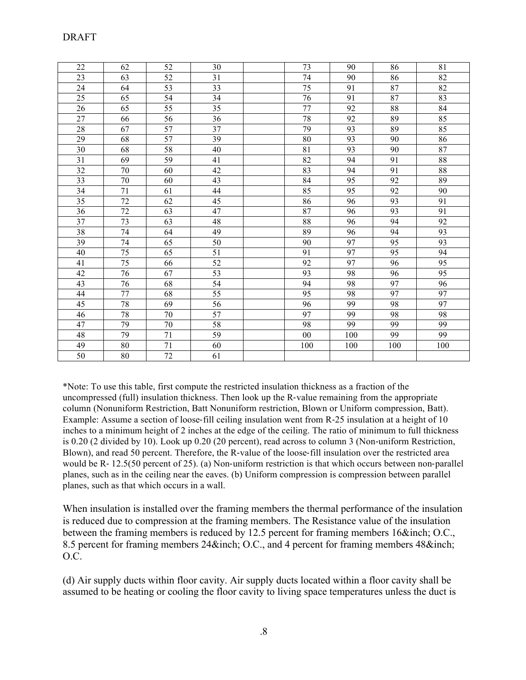| 22 | 62 | 52              | 30              | 73          | 90  | 86              | 81              |
|----|----|-----------------|-----------------|-------------|-----|-----------------|-----------------|
| 23 | 63 | 52              | 31              | 74          | 90  | 86              | 82              |
| 24 | 64 | $\overline{53}$ | 33              | 75          | 91  | 87              | $\overline{82}$ |
| 25 | 65 | 54              | 34              | 76          | 91  | 87              | 83              |
| 26 | 65 | 55              | 35              | 77          | 92  | 88              | 84              |
| 27 | 66 | 56              | 36              | 78          | 92  | 89              | 85              |
| 28 | 67 | 57              | 37              | 79          | 93  | 89              | 85              |
| 29 | 68 | 57              | 39              | $80\,$      | 93  | 90              | 86              |
| 30 | 68 | 58              | 40              | $8\sqrt{1}$ | 93  | 90              | 87              |
| 31 | 69 | 59              | 41              | 82          | 94  | 91              | 88              |
| 32 | 70 | 60              | 42              | 83          | 94  | 91              | $88\,$          |
| 33 | 70 | 60              | 43              | 84          | 95  | 92              | 89              |
| 34 | 71 | 61              | 44              | 85          | 95  | 92              | 90              |
| 35 | 72 | 62              | $\overline{45}$ | 86          | 96  | $\overline{93}$ | 91              |
| 36 | 72 | 63              | $\overline{47}$ | 87          | 96  | 93              | 91              |
| 37 | 73 | 63              | 48              | $88\,$      | 96  | 94              | 92              |
| 38 | 74 | 64              | 49              | 89          | 96  | 94              | 93              |
| 39 | 74 | 65              | 50              | 90          | 97  | 95              | 93              |
| 40 | 75 | 65              | 51              | 91          | 97  | 95              | 94              |
| 41 | 75 | 66              | 52              | 92          | 97  | 96              | 95              |
| 42 | 76 | 67              | $\overline{53}$ | 93          | 98  | 96              | 95              |
| 43 | 76 | 68              | 54              | 94          | 98  | 97              | 96              |
| 44 | 77 | 68              | 55              | 95          | 98  | 97              | 97              |
| 45 | 78 | 69              | 56              | 96          | 99  | 98              | 97              |
| 46 | 78 | 70              | 57              | 97          | 99  | 98              | 98              |
| 47 | 79 | 70              | 58              | 98          | 99  | 99              | 99              |
| 48 | 79 | 71              | 59              | 00          | 100 | 99              | 99              |
| 49 | 80 | 71              | 60              | 100         | 100 | 100             | 100             |
| 50 | 80 | $72\,$          | 61              |             |     |                 |                 |

\*Note: To use this table, first compute the restricted insulation thickness as a fraction of the uncompressed (full) insulation thickness. Then look up the R-value remaining from the appropriate column (Nonuniform Restriction, Batt Nonuniform restriction, Blown or Uniform compression, Batt). Example: Assume a section of loose-fill ceiling insulation went from R-25 insulation at a height of 10 inches to a minimum height of 2 inches at the edge of the ceiling. The ratio of minimum to full thickness is 0.20 (2 divided by 10). Look up 0.20 (20 percent), read across to column 3 (Non-uniform Restriction, Blown), and read 50 percent. Therefore, the R-value of the loose-fill insulation over the restricted area would be R- 12.5(50 percent of 25). (a) Non-uniform restriction is that which occurs between non-parallel planes, such as in the ceiling near the eaves. (b) Uniform compression is compression between parallel planes, such as that which occurs in a wall.

When insulation is installed over the framing members the thermal performance of the insulation is reduced due to compression at the framing members. The Resistance value of the insulation between the framing members is reduced by 12.5 percent for framing members 16&inch; O.C., 8.5 percent for framing members 24&inch; O.C., and 4 percent for framing members 48&inch; O.C.

(d) Air supply ducts within floor cavity. Air supply ducts located within a floor cavity shall be assumed to be heating or cooling the floor cavity to living space temperatures unless the duct is